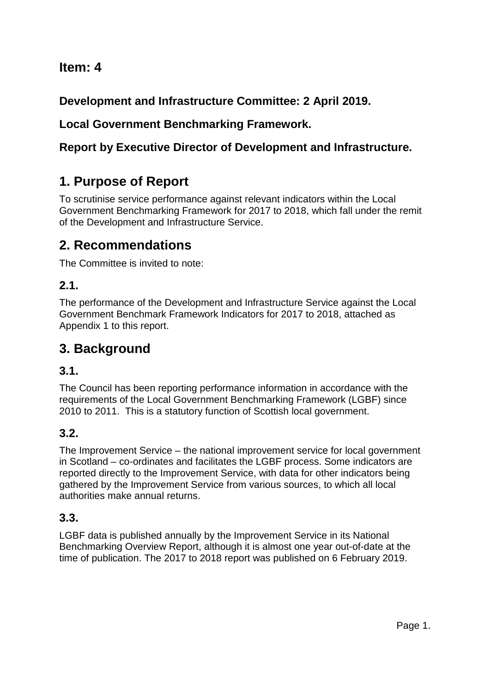# **Item: 4**

**Development and Infrastructure Committee: 2 April 2019.**

# **Local Government Benchmarking Framework.**

# **Report by Executive Director of Development and Infrastructure.**

# **1. Purpose of Report**

To scrutinise service performance against relevant indicators within the Local Government Benchmarking Framework for 2017 to 2018, which fall under the remit of the Development and Infrastructure Service.

# **2. Recommendations**

The Committee is invited to note:

# **2.1.**

The performance of the Development and Infrastructure Service against the Local Government Benchmark Framework Indicators for 2017 to 2018, attached as Appendix 1 to this report.

# **3. Background**

## **3.1.**

The Council has been reporting performance information in accordance with the requirements of the Local Government Benchmarking Framework (LGBF) since 2010 to 2011. This is a statutory function of Scottish local government.

# **3.2.**

The Improvement Service – the national improvement service for local government in Scotland – co-ordinates and facilitates the LGBF process. Some indicators are reported directly to the Improvement Service, with data for other indicators being gathered by the Improvement Service from various sources, to which all local authorities make annual returns.

# **3.3.**

LGBF data is published annually by the Improvement Service in its National Benchmarking Overview Report, although it is almost one year out-of-date at the time of publication. The 2017 to 2018 report was published on 6 February 2019.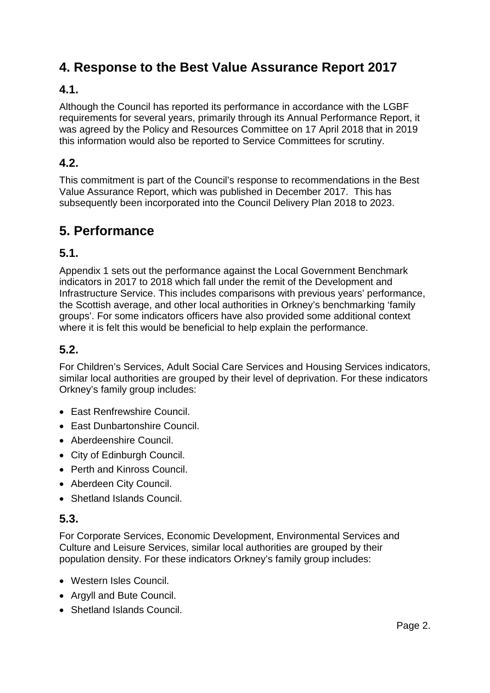# **4. Response to the Best Value Assurance Report 2017**

## **4.1.**

Although the Council has reported its performance in accordance with the LGBF requirements for several years, primarily through its Annual Performance Report, it was agreed by the Policy and Resources Committee on 17 April 2018 that in 2019 this information would also be reported to Service Committees for scrutiny.

## **4.2.**

This commitment is part of the Council's response to recommendations in the Best Value Assurance Report, which was published in December 2017. This has subsequently been incorporated into the Council Delivery Plan 2018 to 2023.

# **5. Performance**

## **5.1.**

Appendix 1 sets out the performance against the Local Government Benchmark indicators in 2017 to 2018 which fall under the remit of the Development and Infrastructure Service. This includes comparisons with previous years' performance, the Scottish average, and other local authorities in Orkney's benchmarking 'family groups'. For some indicators officers have also provided some additional context where it is felt this would be beneficial to help explain the performance.

## **5.2.**

For Children's Services, Adult Social Care Services and Housing Services indicators, similar local authorities are grouped by their level of deprivation. For these indicators Orkney's family group includes:

- East Renfrewshire Council.
- East Dunbartonshire Council.
- Aberdeenshire Council.
- City of Edinburgh Council.
- Perth and Kinross Council.
- Aberdeen City Council.
- Shetland Islands Council.

## **5.3.**

For Corporate Services, Economic Development, Environmental Services and Culture and Leisure Services, similar local authorities are grouped by their population density. For these indicators Orkney's family group includes:

- Western Isles Council.
- Argyll and Bute Council.
- Shetland Islands Council.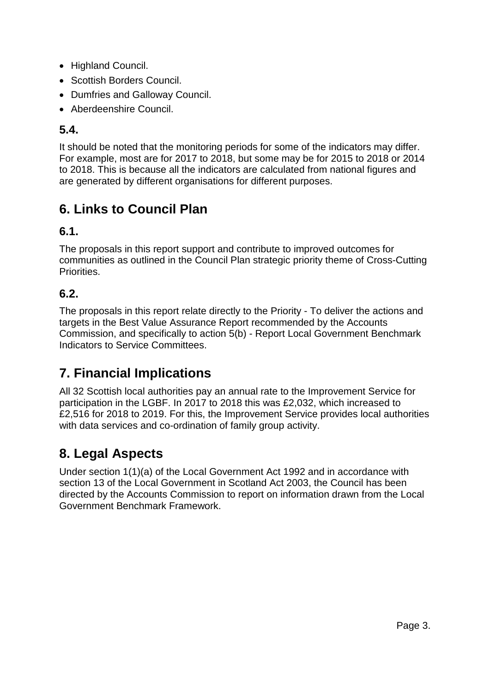- Highland Council.
- Scottish Borders Council.
- Dumfries and Galloway Council.
- Aberdeenshire Council.

## **5.4.**

It should be noted that the monitoring periods for some of the indicators may differ. For example, most are for 2017 to 2018, but some may be for 2015 to 2018 or 2014 to 2018. This is because all the indicators are calculated from national figures and are generated by different organisations for different purposes.

# **6. Links to Council Plan**

## **6.1.**

The proposals in this report support and contribute to improved outcomes for communities as outlined in the Council Plan strategic priority theme of Cross-Cutting Priorities.

# **6.2.**

The proposals in this report relate directly to the Priority - To deliver the actions and targets in the Best Value Assurance Report recommended by the Accounts Commission, and specifically to action 5(b) - Report Local Government Benchmark Indicators to Service Committees.

# **7. Financial Implications**

All 32 Scottish local authorities pay an annual rate to the Improvement Service for participation in the LGBF. In 2017 to 2018 this was £2,032, which increased to £2,516 for 2018 to 2019. For this, the Improvement Service provides local authorities with data services and co-ordination of family group activity.

# **8. Legal Aspects**

Under section 1(1)(a) of the Local Government Act 1992 and in accordance with section 13 of the Local Government in Scotland Act 2003, the Council has been directed by the Accounts Commission to report on information drawn from the Local Government Benchmark Framework.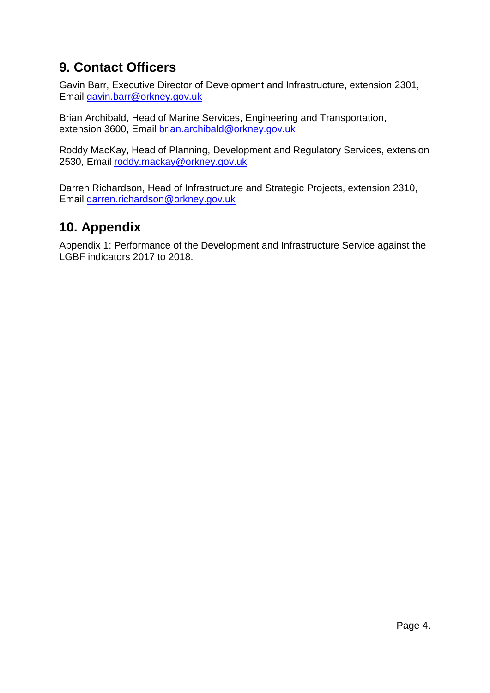# **9. Contact Officers**

Gavin Barr, Executive Director of Development and Infrastructure, extension 2301, Email gavin.barr@orkney.gov.uk

Brian Archibald, Head of Marine Services, Engineering and Transportation, extension 3600, Email [brian.archibald@orkney.gov.uk](mailto:brian.archibald@orkney.gov.uk)

Roddy MacKay, Head of Planning, Development and Regulatory Services, extension 2530, Email [roddy.mackay@orkney.gov.uk](mailto:roddy.mackay@orkney.gov.uk)

Darren Richardson, Head of Infrastructure and Strategic Projects, extension 2310, Email [darren.richardson@orkney.gov.uk](mailto:darren.richardson@orkney.gov.uk)

# **10. Appendix**

Appendix 1: Performance of the Development and Infrastructure Service against the LGBF indicators 2017 to 2018.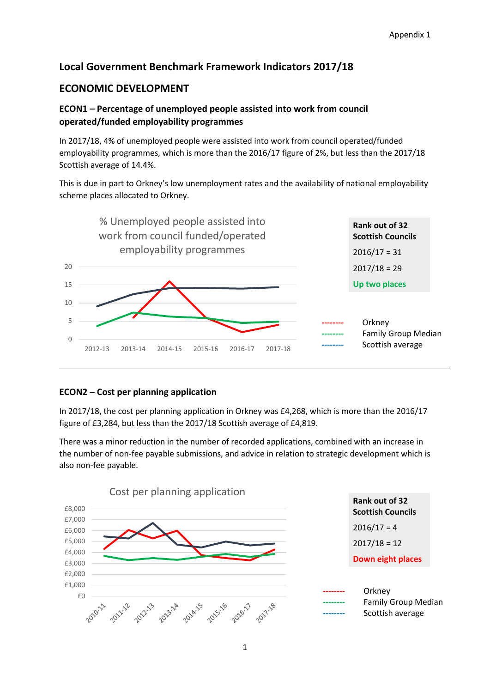## **Local Government Benchmark Framework Indicators 2017/18**

## **ECONOMIC DEVELOPMENT**

## **ECON1 – Percentage of unemployed people assisted into work from council operated/funded employability programmes**

In 2017/18, 4% of unemployed people were assisted into work from council operated/funded employability programmes, which is more than the 2016/17 figure of 2%, but less than the 2017/18 Scottish average of 14.4%.

This is due in part to Orkney's low unemployment rates and the availability of national employability scheme places allocated to Orkney.



### **ECON2 – Cost per planning application**

In 2017/18, the cost per planning application in Orkney was £4,268, which is more than the 2016/17 figure of £3,284, but less than the 2017/18 Scottish average of £4,819.

There was a minor reduction in the number of recorded applications, combined with an increase in the number of non-fee payable submissions, and advice in relation to strategic development which is also non-fee payable.

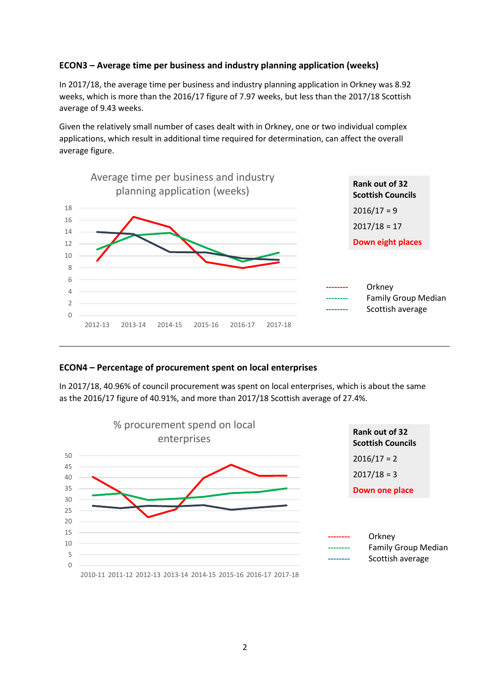### **ECON3 – Average time per business and industry planning application (weeks)**

In 2017/18, the average time per business and industry planning application in Orkney was 8.92 weeks, which is more than the 2016/17 figure of 7.97 weeks, but less than the 2017/18 Scottish average of 9.43 weeks.

Given the relatively small number of cases dealt with in Orkney, one or two individual complex applications, which result in additional time required for determination, can affect the overall average figure.



### **ECON4 – Percentage of procurement spent on local enterprises**

In 2017/18, 40.96% of council procurement was spent on local enterprises, which is about the same as the 2016/17 figure of 40.91%, and more than 2017/18 Scottish average of 27.4%.

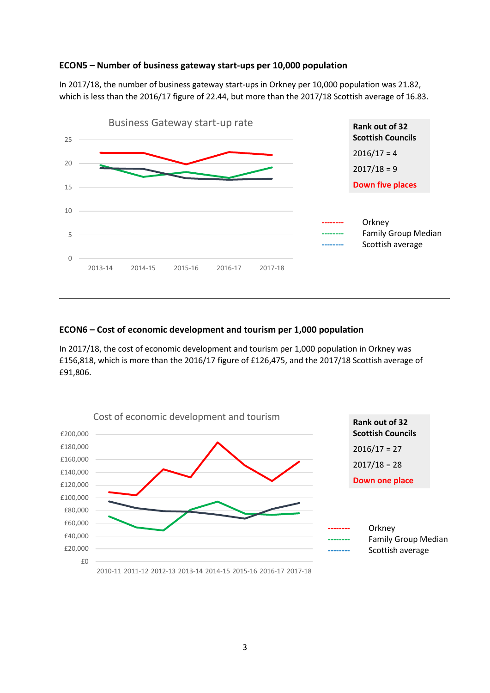#### **ECON5 – Number of business gateway start-ups per 10,000 population**

In 2017/18, the number of business gateway start-ups in Orkney per 10,000 population was 21.82, which is less than the 2016/17 figure of 22.44, but more than the 2017/18 Scottish average of 16.83.



#### **ECON6 – Cost of economic development and tourism per 1,000 population**

In 2017/18, the cost of economic development and tourism per 1,000 population in Orkney was £156,818, which is more than the 2016/17 figure of £126,475, and the 2017/18 Scottish average of £91,806.

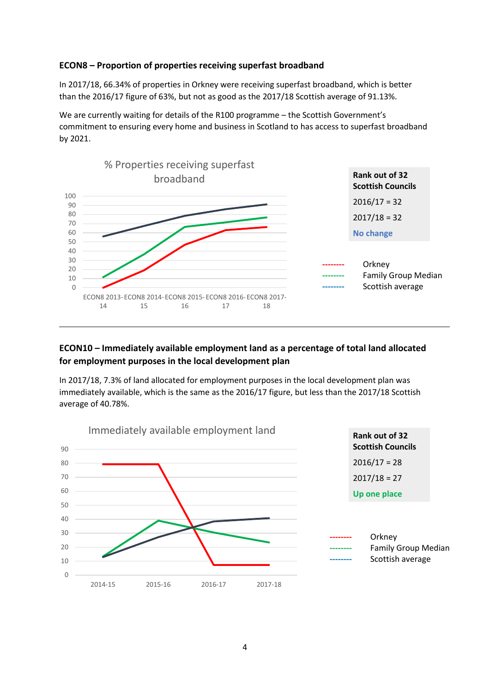#### **ECON8 – Proportion of properties receiving superfast broadband**

In 2017/18, 66.34% of properties in Orkney were receiving superfast broadband, which is better than the 2016/17 figure of 63%, but not as good as the 2017/18 Scottish average of 91.13%.

We are currently waiting for details of the R100 programme – the Scottish Government's commitment to ensuring every home and business in Scotland to has access to superfast broadband by 2021.



### **ECON10 – Immediately available employment land as a percentage of total land allocated for employment purposes in the local development plan**

In 2017/18, 7.3% of land allocated for employment purposes in the local development plan was immediately available, which is the same as the 2016/17 figure, but less than the 2017/18 Scottish average of 40.78%.

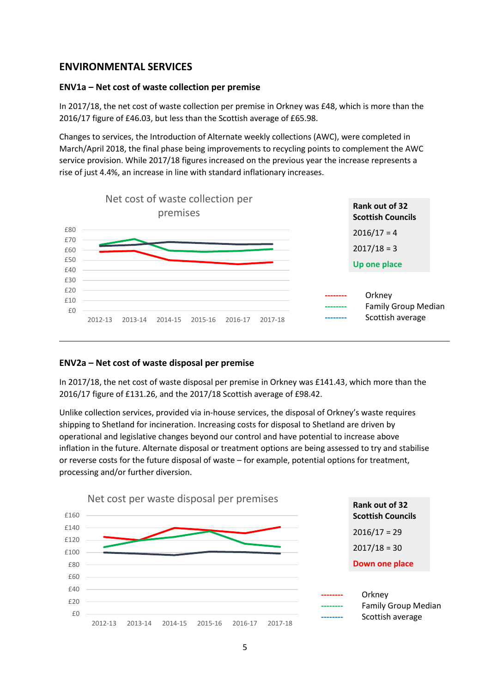## **ENVIRONMENTAL SERVICES**

#### **ENV1a – Net cost of waste collection per premise**

In 2017/18, the net cost of waste collection per premise in Orkney was £48, which is more than the 2016/17 figure of £46.03, but less than the Scottish average of £65.98.

Changes to services, the Introduction of Alternate weekly collections (AWC), were completed in March/April 2018, the final phase being improvements to recycling points to complement the AWC service provision. While 2017/18 figures increased on the previous year the increase represents a rise of just 4.4%, an increase in line with standard inflationary increases.



#### **ENV2a – Net cost of waste disposal per premise**

In 2017/18, the net cost of waste disposal per premise in Orkney was £141.43, which more than the 2016/17 figure of £131.26, and the 2017/18 Scottish average of £98.42.

Unlike collection services, provided via in-house services, the disposal of Orkney's waste requires shipping to Shetland for incineration. Increasing costs for disposal to Shetland are driven by operational and legislative changes beyond our control and have potential to increase above inflation in the future. Alternate disposal or treatment options are being assessed to try and stabilise or reverse costs for the future disposal of waste – for example, potential options for treatment, processing and/or further diversion.

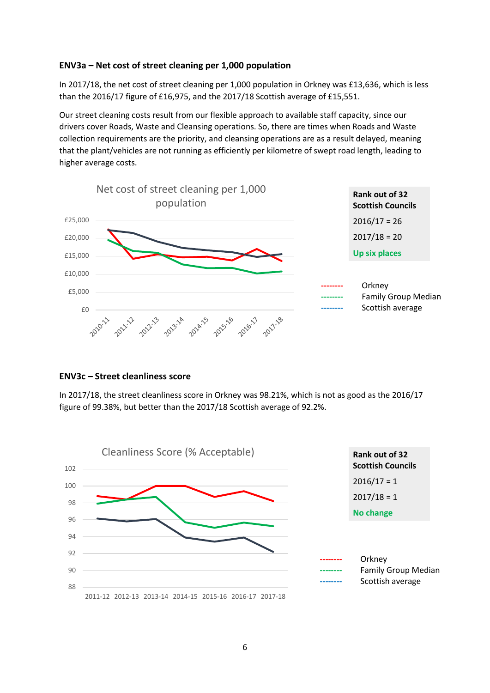#### **ENV3a – Net cost of street cleaning per 1,000 population**

In 2017/18, the net cost of street cleaning per 1,000 population in Orkney was £13,636, which is less than the 2016/17 figure of £16,975, and the 2017/18 Scottish average of £15,551.

Our street cleaning costs result from our flexible approach to available staff capacity, since our drivers cover Roads, Waste and Cleansing operations. So, there are times when Roads and Waste collection requirements are the priority, and cleansing operations are as a result delayed, meaning that the plant/vehicles are not running as efficiently per kilometre of swept road length, leading to higher average costs.



#### **ENV3c – Street cleanliness score**

In 2017/18, the street cleanliness score in Orkney was 98.21%, which is not as good as the 2016/17 figure of 99.38%, but better than the 2017/18 Scottish average of 92.2%.

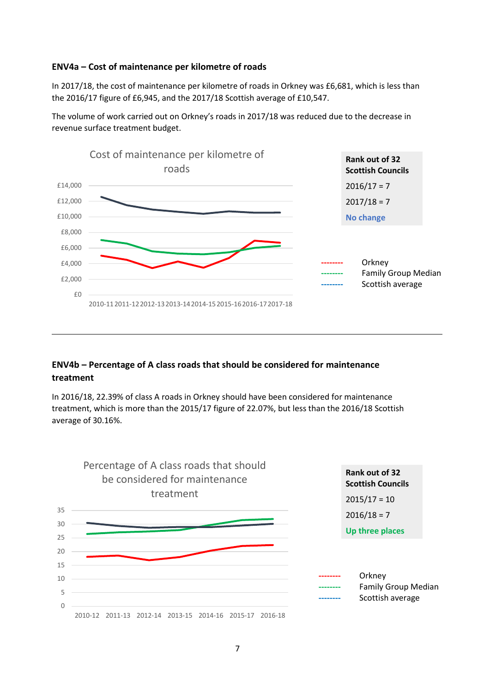#### **ENV4a – Cost of maintenance per kilometre of roads**

In 2017/18, the cost of maintenance per kilometre of roads in Orkney was £6,681, which is less than the 2016/17 figure of £6,945, and the 2017/18 Scottish average of £10,547.

The volume of work carried out on Orkney's roads in 2017/18 was reduced due to the decrease in revenue surface treatment budget.



## **ENV4b – Percentage of A class roads that should be considered for maintenance treatment**

In 2016/18, 22.39% of class A roads in Orkney should have been considered for maintenance treatment, which is more than the 2015/17 figure of 22.07%, but less than the 2016/18 Scottish average of 30.16%.

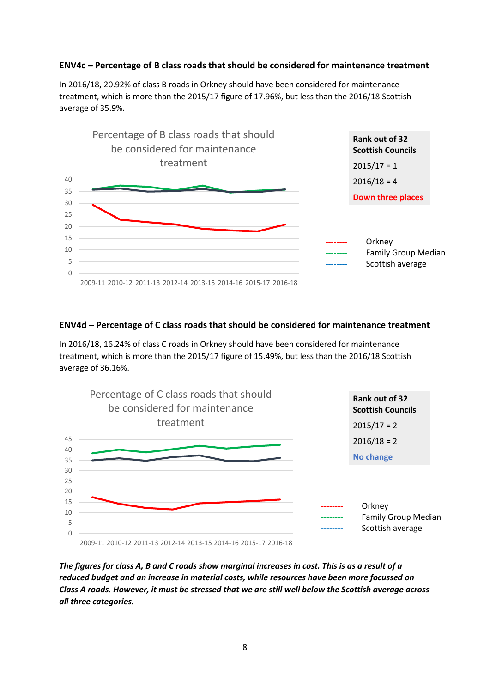### **ENV4c – Percentage of B class roads that should be considered for maintenance treatment**

In 2016/18, 20.92% of class B roads in Orkney should have been considered for maintenance treatment, which is more than the 2015/17 figure of 17.96%, but less than the 2016/18 Scottish average of 35.9%.



### **ENV4d – Percentage of C class roads that should be considered for maintenance treatment**

In 2016/18, 16.24% of class C roads in Orkney should have been considered for maintenance treatment, which is more than the 2015/17 figure of 15.49%, but less than the 2016/18 Scottish average of 36.16%.



*The figures for class A, B and C roads show marginal increases in cost. This is as a result of a reduced budget and an increase in material costs, while resources have been more focussed on Class A roads. However, it must be stressed that we are still well below the Scottish average across all three categories.*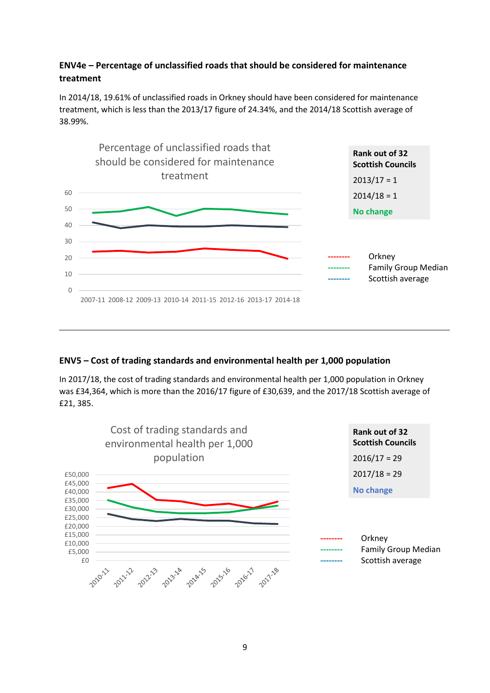## **ENV4e – Percentage of unclassified roads that should be considered for maintenance treatment**

In 2014/18, 19.61% of unclassified roads in Orkney should have been considered for maintenance treatment, which is less than the 2013/17 figure of 24.34%, and the 2014/18 Scottish average of 38.99%.



### **ENV5 – Cost of trading standards and environmental health per 1,000 population**

In 2017/18, the cost of trading standards and environmental health per 1,000 population in Orkney was £34,364, which is more than the 2016/17 figure of £30,639, and the 2017/18 Scottish average of £21, 385.

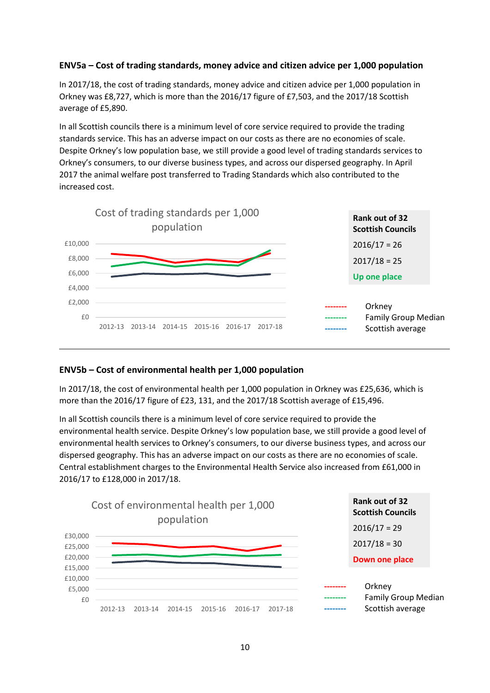### **ENV5a – Cost of trading standards, money advice and citizen advice per 1,000 population**

In 2017/18, the cost of trading standards, money advice and citizen advice per 1,000 population in Orkney was £8,727, which is more than the 2016/17 figure of £7,503, and the 2017/18 Scottish average of £5,890.

In all Scottish councils there is a minimum level of core service required to provide the trading standards service. This has an adverse impact on our costs as there are no economies of scale. Despite Orkney's low population base, we still provide a good level of trading standards services to Orkney's consumers, to our diverse business types, and across our dispersed geography. In April 2017 the animal welfare post transferred to Trading Standards which also contributed to the increased cost.



### **ENV5b – Cost of environmental health per 1,000 population**

In 2017/18, the cost of environmental health per 1,000 population in Orkney was £25,636, which is more than the 2016/17 figure of £23, 131, and the 2017/18 Scottish average of £15,496.

In all Scottish councils there is a minimum level of core service required to provide the environmental health service. Despite Orkney's low population base, we still provide a good level of environmental health services to Orkney's consumers, to our diverse business types, and across our dispersed geography. This has an adverse impact on our costs as there are no economies of scale. Central establishment charges to the Environmental Health Service also increased from £61,000 in 2016/17 to £128,000 in 2017/18.

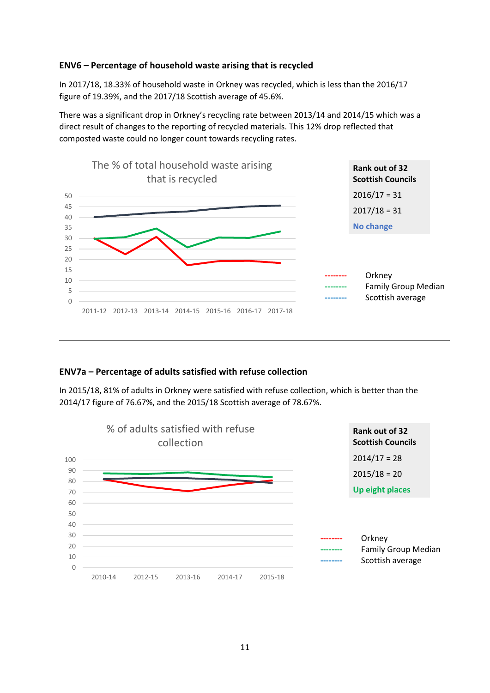#### **ENV6 – Percentage of household waste arising that is recycled**

In 2017/18, 18.33% of household waste in Orkney was recycled, which is less than the 2016/17 figure of 19.39%, and the 2017/18 Scottish average of 45.6%.

There was a significant drop in Orkney's recycling rate between 2013/14 and 2014/15 which was a direct result of changes to the reporting of recycled materials. This 12% drop reflected that composted waste could no longer count towards recycling rates.



### **ENV7a – Percentage of adults satisfied with refuse collection**

In 2015/18, 81% of adults in Orkney were satisfied with refuse collection, which is better than the 2014/17 figure of 76.67%, and the 2015/18 Scottish average of 78.67%.